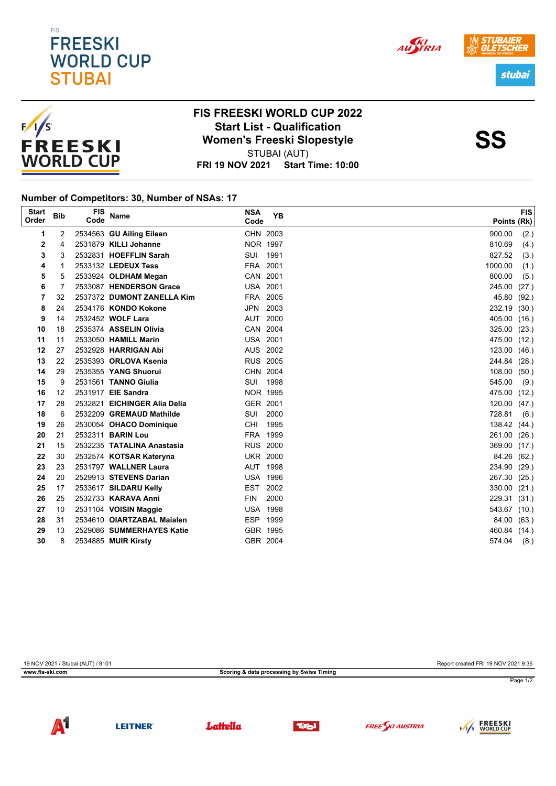



## **FRI 19 NOV 2021 Start Time: 10:00 FIS FREESKI WORLD CUP 2022 Start List - Qualification<br>
Women's Freeski Slopestyle<br>
SULPAL (ALIT)** STUBAI (AUT)

## **Number of Competitors: 30, Number of NSAs: 17**

| <b>Start</b><br>Order | <b>Bib</b> | <b>FIS</b><br>Code | <b>Name</b>                  | <b>NSA</b><br>Code | YB   | <b>FIS</b><br>Points (Rk) |
|-----------------------|------------|--------------------|------------------------------|--------------------|------|---------------------------|
| 1                     | 2          |                    | 2534563 GU Ailing Eileen     | CHN 2003           |      | 900.00<br>(2.)            |
| 2                     | 4          |                    | 2531879 KILLI Johanne        | <b>NOR 1997</b>    |      | (4.)<br>810.69            |
| 3                     | 3          |                    | 2532831 HOEFFLIN Sarah       | SUI                | 1991 | 827.52<br>(3.)            |
| 4                     | 1          |                    | 2533132 LEDEUX Tess          | FRA 2001           |      | 1000.00<br>(1.)           |
| 5                     | 5          |                    | 2533924 OLDHAM Megan         | CAN 2001           |      | 800.00<br>(5.)            |
| 6                     | 7          |                    | 2533087 HENDERSON Grace      | <b>USA 2001</b>    |      | 245.00<br>(27.)           |
| 7                     | 32         |                    | 2537372 DUMONT ZANELLA Kim   | FRA 2005           |      | 45.80<br>(92.)            |
| 8                     | 24         |                    | 2534176 KONDO Kokone         | JPN 2003           |      | 232.19<br>(30.)           |
| 9                     | 14         |                    | 2532452 WOLF Lara            | AUT                | 2000 | 405.00<br>(16.)           |
| 10                    | 18         |                    | 2535374 ASSELIN Olivia       | CAN 2004           |      | 325.00<br>(23.)           |
| 11                    | 11         |                    | 2533050 HAMILL Marin         | <b>USA 2001</b>    |      | 475.00<br>(12.)           |
| 12                    | 27         |                    | 2532928 HARRIGAN Abi         | AUS 2002           |      | 123.00<br>(46.)           |
| 13                    | 22         |                    | 2535393 ORLOVA Ksenia        | <b>RUS 2005</b>    |      | 244.84 (28.)              |
| 14                    | 29         |                    | 2535355 YANG Shuorui         | CHN 2004           |      | 108.00<br>(50.)           |
| 15                    | 9          |                    | 2531561 TANNO Giulia         | SUI                | 1998 | 545.00<br>(9.)            |
| 16                    | 12         |                    | 2531917 EIE Sandra           | <b>NOR 1995</b>    |      | 475.00<br>(12.)           |
| 17                    | 28         |                    | 2532821 EICHINGER Alia Delia | GER 2001           |      | 120.00<br>(47.)           |
| 18                    | 6          |                    | 2532209 GREMAUD Mathilde     | SUI                | 2000 | 728.81<br>(6.)            |
| 19                    | 26         |                    | 2530054 OHACO Dominique      | CHI                | 1995 | 138.42 (44.)              |
| 20                    | 21         |                    | 2532311 <b>BARIN Lou</b>     | FRA 1999           |      | 261.00<br>(26.)           |
| 21                    | 15         |                    | 2532235 TATALINA Anastasia   | <b>RUS 2000</b>    |      | 369.00<br>(17.)           |
| 22                    | 30         |                    | 2532574 KOTSAR Kateryna      | <b>UKR 2000</b>    |      | 84.26<br>(62.)            |
| 23                    | 23         |                    | 2531797 WALLNER Laura        | AUT 1998           |      | 234.90<br>(29.)           |
| 24                    | 20         |                    | 2529913 STEVENS Darian       | <b>USA 1996</b>    |      | 267.30<br>(25.)           |
| 25                    | 17         |                    | 2533617 SILDARU Kelly        | EST 2002           |      | 330.00<br>(21.)           |
| 26                    | 25         |                    | 2532733 KARAVA Anni          | <b>FIN</b>         | 2000 | 229.31<br>(31.)           |
| 27                    | 10         |                    | 2531104 VOISIN Maggie        | <b>USA 1998</b>    |      | 543.67 (10.)              |
| 28                    | 31         |                    | 2534610 OIARTZABAL Maialen   | ESP 1999           |      | 84.00<br>(63.)            |
| 29                    | 13         |                    | 2529086 SUMMERHAYES Katie    | GBR 1995           |      | 460.84 (14.)              |
| 30                    | 8          |                    | 2534885 MUIR Kirsty          | GBR 2004           |      | 574.04<br>(8.)            |

| 19 NOV 2021 / Stubai (AUT) / 8101 |                                           | Report created FRI 19 NOV 2021 9:36 |
|-----------------------------------|-------------------------------------------|-------------------------------------|
| www.fis-ski.com                   | Scoring & data processing by Swiss Timing |                                     |
|                                   |                                           | Page 1/2                            |
|                                   |                                           |                                     |













AUSTRIA